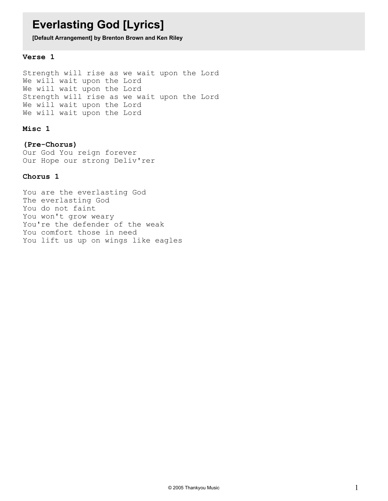# **Everlasting God [Lyrics]**

**[Default Arrangement] by Brenton Brown and Ken Riley**

## **Verse 1**

Strength will rise as we wait upon the Lord We will wait upon the Lord We will wait upon the Lord Strength will rise as we wait upon the Lord We will wait upon the Lord We will wait upon the Lord

# **Misc 1**

**(Pre-Chorus)** Our God You reign forever Our Hope our strong Deliv'rer

## **Chorus 1**

You are the everlasting God The everlasting God You do not faint You won't grow weary You're the defender of the weak You comfort those in need You lift us up on wings like eagles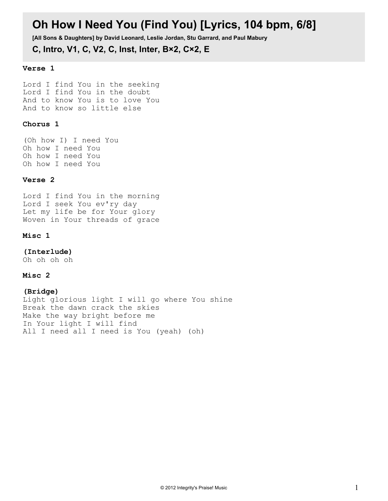# **Oh How I Need You (Find You) [Lyrics, 104 bpm, 6/8]**

**[All Sons & Daughters] by David Leonard, Leslie Jordan, Stu Garrard, and Paul Mabury**

**C, Intro, V1, C, V2, C, Inst, Inter, B×2, C×2, E**

### **Verse 1**

Lord I find You in the seeking Lord I find You in the doubt And to know You is to love You And to know so little else

# **Chorus 1**

(Oh how I) I need You Oh how I need You Oh how I need You Oh how I need You

## **Verse 2**

Lord I find You in the morning Lord I seek You ev'ry day Let my life be for Your glory Woven in Your threads of grace

## **Misc 1**

**(Interlude)** Oh oh oh oh

## **Misc 2**

**(Bridge)** Light glorious light I will go where You shine Break the dawn crack the skies Make the way bright before me In Your light I will find All I need all I need is You (yeah) (oh)